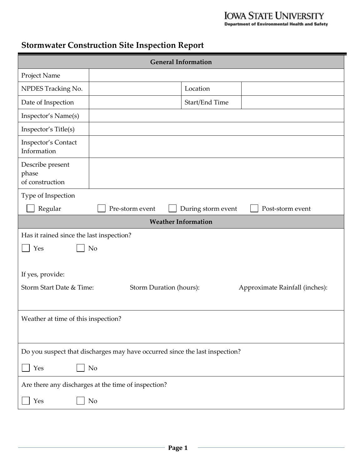# **IOWA STATE UNIVERSITY**<br>Department of Environmental Health and Safety

## **Stormwater Construction Site Inspection Report**

| <b>General Information</b>                                                  |                                                     |                    |                                |
|-----------------------------------------------------------------------------|-----------------------------------------------------|--------------------|--------------------------------|
| Project Name                                                                |                                                     |                    |                                |
| NPDES Tracking No.                                                          |                                                     | Location           |                                |
| Date of Inspection                                                          |                                                     | Start/End Time     |                                |
| Inspector's Name(s)                                                         |                                                     |                    |                                |
| Inspector's Title(s)                                                        |                                                     |                    |                                |
| Inspector's Contact<br>Information                                          |                                                     |                    |                                |
| Describe present<br>phase<br>of construction                                |                                                     |                    |                                |
| Type of Inspection                                                          |                                                     |                    |                                |
| Regular                                                                     | Pre-storm event                                     | During storm event | Post-storm event               |
|                                                                             | <b>Weather Information</b>                          |                    |                                |
| Has it rained since the last inspection?                                    |                                                     |                    |                                |
| Yes                                                                         | N <sub>o</sub>                                      |                    |                                |
| If yes, provide:<br>Storm Start Date & Time:                                | Storm Duration (hours):                             |                    | Approximate Rainfall (inches): |
| Weather at time of this inspection?                                         |                                                     |                    |                                |
| Do you suspect that discharges may have occurred since the last inspection? |                                                     |                    |                                |
| Yes                                                                         | N <sub>o</sub>                                      |                    |                                |
|                                                                             | Are there any discharges at the time of inspection? |                    |                                |
| Yes                                                                         | No                                                  |                    |                                |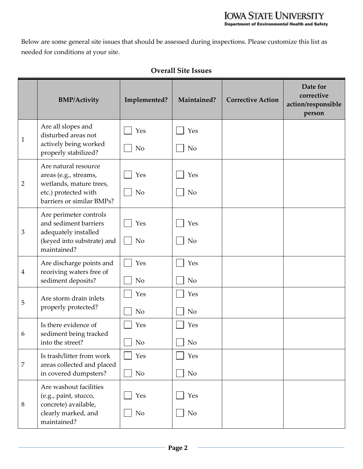Below are some general site issues that should be assessed during inspections. Please customize this list as needed for conditions at your site.

|                | <b>BMP/Activity</b>                                                                                                           | Implemented?          | Maintained?           | <b>Corrective Action</b> | Date for<br>corrective<br>action/responsible<br>person |
|----------------|-------------------------------------------------------------------------------------------------------------------------------|-----------------------|-----------------------|--------------------------|--------------------------------------------------------|
| $\mathbf{1}$   | Are all slopes and<br>disturbed areas not<br>actively being worked<br>properly stabilized?                                    | Yes<br>N <sub>o</sub> | Yes<br>N <sub>o</sub> |                          |                                                        |
| $\overline{2}$ | Are natural resource<br>areas (e.g., streams,<br>wetlands, mature trees,<br>etc.) protected with<br>barriers or similar BMPs? | Yes<br><b>No</b>      | Yes<br>N <sub>o</sub> |                          |                                                        |
| 3              | Are perimeter controls<br>and sediment barriers<br>adequately installed<br>(keyed into substrate) and<br>maintained?          | Yes<br>N <sub>o</sub> | Yes<br>N <sub>o</sub> |                          |                                                        |
| $\overline{4}$ | Are discharge points and<br>receiving waters free of<br>sediment deposits?                                                    | Yes<br>N <sub>o</sub> | Yes<br>N <sub>o</sub> |                          |                                                        |
| 5              | Are storm drain inlets<br>properly protected?                                                                                 | Yes<br>No             | Yes<br>N <sub>o</sub> |                          |                                                        |
| 6              | Is there evidence of<br>sediment being tracked<br>into the street?                                                            | Yes<br><b>No</b>      | Yes<br>N <sub>o</sub> |                          |                                                        |
| 7              | Is trash/litter from work<br>areas collected and placed<br>in covered dumpsters?                                              | Yes<br>No             | Yes<br>No             |                          |                                                        |
| 8              | Are washout facilities<br>(e.g., paint, stucco,<br>concrete) available,<br>clearly marked, and<br>maintained?                 | Yes<br>No             | Yes<br>N <sub>o</sub> |                          |                                                        |

#### **Overall Site Issues**